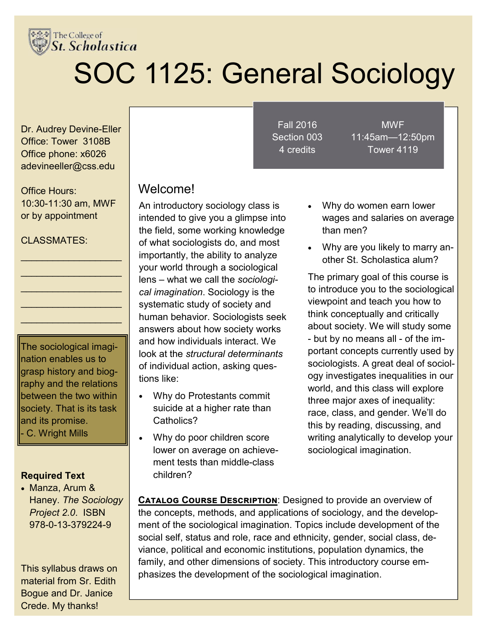

# SOC 1125: General Sociology

Dr. Audrey Devine-Eller Office: Tower 3108B Office phone: x6026 adevineeller@css.edu

Office Hours: 10:30-11:30 am, MWF or by appointment

 $\overline{\phantom{a}}$  , which is a set of the set of the set of the set of the set of the set of the set of the set of the set of the set of the set of the set of the set of the set of the set of the set of the set of the set of th  $\mathcal{L}_\text{max}$  , where  $\mathcal{L}_\text{max}$  , we have the set of the set of the set of the set of the set of the set of the set of the set of the set of the set of the set of the set of the set of the set of the set of the set of  $\mathcal{L}_\text{max}$  , where  $\mathcal{L}_\text{max}$  , we have the set of the set of the set of the set of the set of the set of the set of the set of the set of the set of the set of the set of the set of the set of the set of the set of  $\overline{\phantom{a}}$  , which is a set of the set of the set of the set of the set of the set of the set of the set of the set of the set of the set of the set of the set of the set of the set of the set of the set of the set of th  $\overline{\phantom{a}}$  , which is a set of the set of the set of the set of the set of the set of the set of the set of the set of the set of the set of the set of the set of the set of the set of the set of the set of the set of th

#### CLASSMATES<sup>.</sup>

The sociological imagination enables us to grasp history and biography and the relations between the two within society. That is its task  $\parallel$ and its promise. - C. Wright Mills

#### **Required Text**

 Manza, Arum & Haney. *The Sociology Project 2.0*. ISBN 978-0-13-379224-9

This syllabus draws on material from Sr. Edith Bogue and Dr. Janice Crede. My thanks!

Fall 2016 Section 003 4 credits

MWF 11:45am—12:50pm Tower 4119

#### Welcome!

An introductory sociology class is intended to give you a glimpse into the field, some working knowledge of what sociologists do, and most importantly, the ability to analyze your world through a sociological lens – what we call the *sociological imagination*. Sociology is the systematic study of society and human behavior. Sociologists seek answers about how society works and how individuals interact. We look at the *structural determinants*  of individual action, asking questions like:

- Why do Protestants commit suicide at a higher rate than Catholics?
- Why do poor children score lower on average on achievement tests than middle-class children?
- Why do women earn lower wages and salaries on average than men?
- Why are you likely to marry another St. Scholastica alum?

The primary goal of this course is to introduce you to the sociological viewpoint and teach you how to think conceptually and critically about society. We will study some - but by no means all - of the important concepts currently used by sociologists. A great deal of sociology investigates inequalities in our world, and this class will explore three major axes of inequality: race, class, and gender. We'll do this by reading, discussing, and writing analytically to develop your sociological imagination.

**CATALOG COURSE DESCRIPTION:** Designed to provide an overview of the concepts, methods, and applications of sociology, and the development of the sociological imagination. Topics include development of the social self, status and role, race and ethnicity, gender, social class, deviance, political and economic institutions, population dynamics, the family, and other dimensions of society. This introductory course emphasizes the development of the sociological imagination.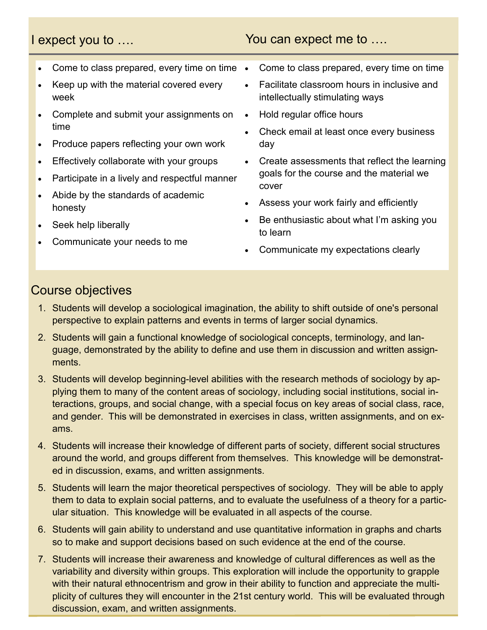#### I expect you to .... The same You can expect me to ....

- Come to class prepared, every time on time •
- Keep up with the material covered every week
- Complete and submit your assignments on time
- Produce papers reflecting your own work
- Effectively collaborate with your groups
- Participate in a lively and respectful manner
- Abide by the standards of academic honesty
- Seek help liberally
- Communicate your needs to me
- Come to class prepared, every time on time
- Facilitate classroom hours in inclusive and intellectually stimulating ways
- Hold regular office hours
- Check email at least once every business day
- Create assessments that reflect the learning goals for the course and the material we cover
- Assess your work fairly and efficiently
- Be enthusiastic about what I'm asking you to learn
- Communicate my expectations clearly

#### Course objectives

- 1. Students will develop a sociological imagination, the ability to shift outside of one's personal perspective to explain patterns and events in terms of larger social dynamics.
- 2. Students will gain a functional knowledge of sociological concepts, terminology, and lanand the magnitude contribution in the magnitude of the contriguor contributions, which is an indicated by the ability to define and use them in discussion and written assignthe measure social science ments.
- 3. Students will develop beginning-level abilities with the research methods of sociology by applying them to many of the content areas of sociology, including social institutions, social interactions, groups, and social change, with a special focus on key areas of social class, race, and gender. This will be demonstrated in exercises in class, written assignments, and on exams.
- 4. Students will increase their knowledge of different parts of society, different social structures around the world, and groups different from themselves. This knowledge will be demonstrated in discussion, exams, and written assignments.
- any hitherto unknown f will be able to apply them to data to explain social patterns, and to evaluate the usefulness of a theory for a partic-<br>The computer of the computation in the computation of the computation of the computation of the computation of exploring systematically systematically systematically systematically systematically systematically systematically systematically systematically systematically systematically systematically systematically systematically sy 5. Students will learn the major theoretical perspectives of sociology. They will be able to apply ular situation. This knowledge will be evaluated in all aspects of the course.
- 6. Students will gain ability to understand and use quantitative information in graphs and charts so to make and support decisions based on such evidence at the end of the course.
- 7. Students will increase their awareness and knowledge of cultural differences as well as the variability and diversity within groups. This exploration will include the opportunity to grapple with their natural ethnocentrism and grow in their ability to function and appreciate the multiplicity of cultures they will encounter in the 21st century world. This will be evaluated through discussion, exam, and written assignments.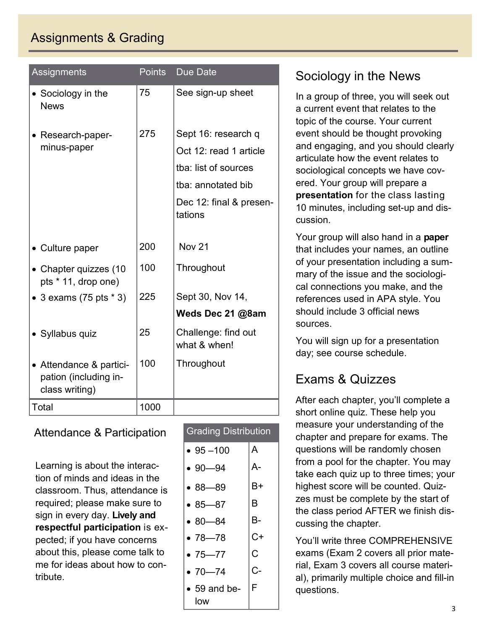# Assignments & Grading

| Assignments                                                        | Points | <b>Due Date</b>                     |
|--------------------------------------------------------------------|--------|-------------------------------------|
| • Sociology in the<br><b>News</b>                                  | 75     | See sign-up sheet                   |
| • Research-paper-                                                  | 275    | Sept 16: research q                 |
| minus-paper                                                        |        | Oct 12: read 1 article              |
|                                                                    |        | tba: list of sources                |
|                                                                    |        | tba: annotated bib                  |
|                                                                    |        | Dec 12: final & presen-<br>tations  |
| • Culture paper                                                    | 200    | <b>Nov 21</b>                       |
| • Chapter quizzes (10<br>pts * 11, drop one)                       | 100    | Throughout                          |
| • 3 exams $(75 \text{ pts} * 3)$                                   | 225    | Sept 30, Nov 14,                    |
|                                                                    |        | Weds Dec 21 @8am                    |
| • Syllabus quiz                                                    | 25     | Challenge: find out<br>what & when! |
| • Attendance & partici-<br>pation (including in-<br>class writing) | 100    | Throughout                          |
| Total                                                              | 1000   |                                     |

#### Attendance & Participation

Learning is about the interaction of minds and ideas in the classroom. Thus, attendance is required; please make sure to sign in every day. **Lively and respectful participation** is expected; if you have concerns about this, please come talk to me for ideas about how to contribute.

| <b>Grading Distribution</b> |    |  |  |  |  |
|-----------------------------|----|--|--|--|--|
| $• 95 - 100$                | A  |  |  |  |  |
| $• 90 - 94$                 | A- |  |  |  |  |
| $•88 - 89$                  | B+ |  |  |  |  |
| $• 85 - 87$                 | B  |  |  |  |  |
| $• 80 - 84$                 | B- |  |  |  |  |
| $•78 - 78$                  | C+ |  |  |  |  |
| $•75 - 77$                  | C. |  |  |  |  |
| $•70 - 74$                  | C- |  |  |  |  |
| $\bullet$ 59 and be-<br>low | F. |  |  |  |  |

# Sociology in the News

In a group of three, you will seek out a current event that relates to the topic of the course. Your current event should be thought provoking and engaging, and you should clearly articulate how the event relates to sociological concepts we have covered. Your group will prepare a **presentation** for the class lasting 10 minutes, including set-up and discussion.

Your group will also hand in a **paper**  that includes your names, an outline of your presentation including a summary of the issue and the sociological connections you make, and the references used in APA style. You should include 3 official news sources.

You will sign up for a presentation day; see course schedule.

# Exams & Quizzes

After each chapter, you'll complete a short online quiz. These help you measure your understanding of the chapter and prepare for exams. The questions will be randomly chosen from a pool for the chapter. You may take each quiz up to three times; your highest score will be counted. Quizzes must be complete by the start of the class period AFTER we finish discussing the chapter.

You'll write three COMPREHENSIVE exams (Exam 2 covers all prior material, Exam 3 covers all course material), primarily multiple choice and fill-in questions.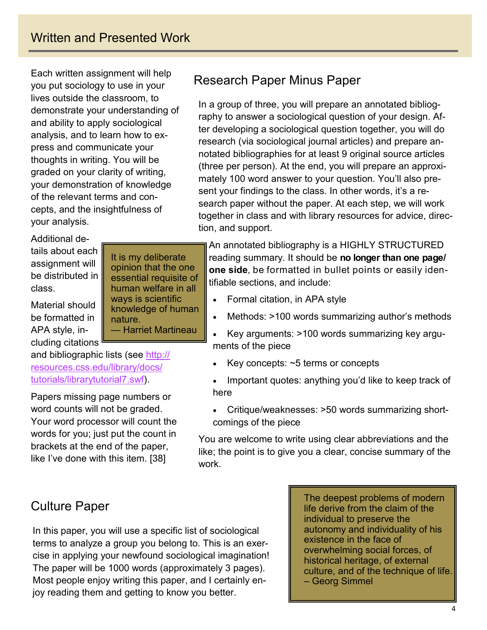Each written assignment will help you put sociology to use in your lives outside the classroom, to demonstrate your understanding of and ability to apply sociological analysis, and to learn how to express and communicate your thoughts in writing. You will be graded on your clarity of writing, your demonstration of knowledge of the relevant terms and concepts, and the insightfulness of your analysis.

Additional details about each assignment will be distributed in class.

Material should be formatted in APA style, including citations

and bibliographic lists (see http:// resources.css.edu/library/docs/ tutorials/librarytutorial7.swf).

Papers missing page numbers or word counts will not be graded. Your word processor will count the words for you; just put the count in brackets at the end of the paper, like I've done with this item. [38]

# Culture Paper

In this paper, you will use a specific list of sociological terms to analyze a group you belong to. This is an exercise in applying your newfound sociological imagination! The paper will be 1000 words (approximately 3 pages). Most people enjoy writing this paper, and I certainly enjoy reading them and getting to know you better.

It is my deliberate opinion that the one essential requisite of human welfare in all ways is scientific knowledge of human

— Harriet Martineau

nature.

The deepest problems of modern life derive from the claim of the individual to preserve the autonomy and individuality of his existence in the face of overwhelming social forces, of historical heritage, of external culture, and of the technique of life. – Georg Simmel

# Research Paper Minus Paper

In a group of three, you will prepare an annotated bibliography to answer a sociological question of your design. After developing a sociological question together, you will do research (via sociological journal articles) and prepare annotated bibliographies for at least 9 original source articles (three per person). At the end, you will prepare an approximately 100 word answer to your question. You'll also present your findings to the class. In other words, it's a research paper without the paper. At each step, we will work together in class and with library resources for advice, direction, and support.

An annotated bibliography is a HIGHLY STRUCTURED reading summary. It should be **no longer than one page/ one side**, be formatted in bullet points or easily identifiable sections, and include:

- Formal citation, in APA style
- Methods: >100 words summarizing author's methods
- Key arguments: >100 words summarizing key arguments of the piece
- Key concepts: ~5 terms or concepts
- Important quotes: anything you'd like to keep track of here
- Critique/weaknesses: >50 words summarizing shortcomings of the piece

You are welcome to write using clear abbreviations and the like; the point is to give you a clear, concise summary of the work.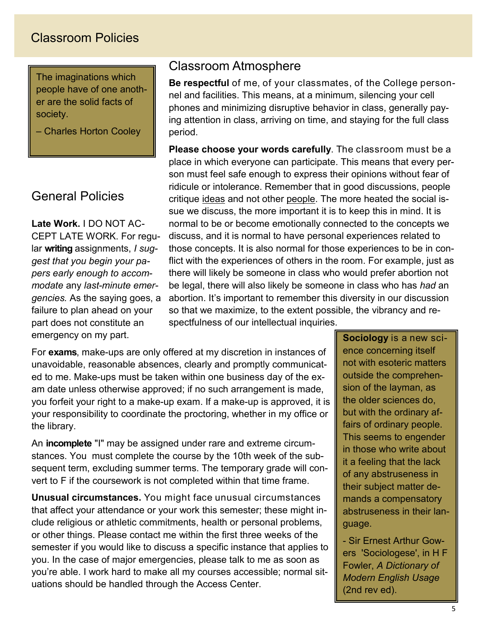## Classroom Policies

The imaginations which people have of one another are the solid facts of society.

– Charles Horton Cooley

#### General Policies

**Late Work.** I DO NOT AC-CEPT LATE WORK. For regular **writing** assignments, *I suggest that you begin your papers early enough to accommodate* any *last-minute emergencies.* As the saying goes, a failure to plan ahead on your part does not constitute an emergency on my part.

#### Classroom Atmosphere

**Be respectful** of me, of your classmates, of the College personnel and facilities. This means, at a minimum, silencing your cell phones and minimizing disruptive behavior in class, generally paying attention in class, arriving on time, and staying for the full class period.

**Please choose your words carefully**. The classroom must be a place in which everyone can participate. This means that every person must feel safe enough to express their opinions without fear of ridicule or intolerance. Remember that in good discussions, people critique ideas and not other people. The more heated the social issue we discuss, the more important it is to keep this in mind. It is normal to be or become emotionally connected to the concepts we discuss, and it is normal to have personal experiences related to those concepts. It is also normal for those experiences to be in conflict with the experiences of others in the room. For example, just as there will likely be someone in class who would prefer abortion not be legal, there will also likely be someone in class who has *had* an abortion. It's important to remember this diversity in our discussion so that we maximize, to the extent possible, the vibrancy and respectfulness of our intellectual inquiries.

For **exams**, make-ups are only offered at my discretion in instances of unavoidable, reasonable absences, clearly and promptly communicated to me. Make-ups must be taken within one business day of the exam date unless otherwise approved; if no such arrangement is made, you forfeit your right to a make-up exam. If a make-up is approved, it is your responsibility to coordinate the proctoring, whether in my office or the library.

An **incomplete** "I" may be assigned under rare and extreme circumstances. You must complete the course by the 10th week of the subsequent term, excluding summer terms. The temporary grade will convert to F if the coursework is not completed within that time frame.

**Unusual circumstances.** You might face unusual circumstances that affect your attendance or your work this semester; these might include religious or athletic commitments, health or personal problems, or other things. Please contact me within the first three weeks of the semester if you would like to discuss a specific instance that applies to you. In the case of major emergencies, please talk to me as soon as you're able. I work hard to make all my courses accessible; normal situations should be handled through the Access Center.

**Sociology** is a new science concerning itself not with esoteric matters outside the comprehension of the layman, as the older sciences do, but with the ordinary affairs of ordinary people. This seems to engender in those who write about it a feeling that the lack of any abstruseness in their subject matter demands a compensatory abstruseness in their language.

- Sir Ernest Arthur Gowers 'Sociologese', in H F Fowler, *A Dictionary of Modern English Usage*  (2nd rev ed).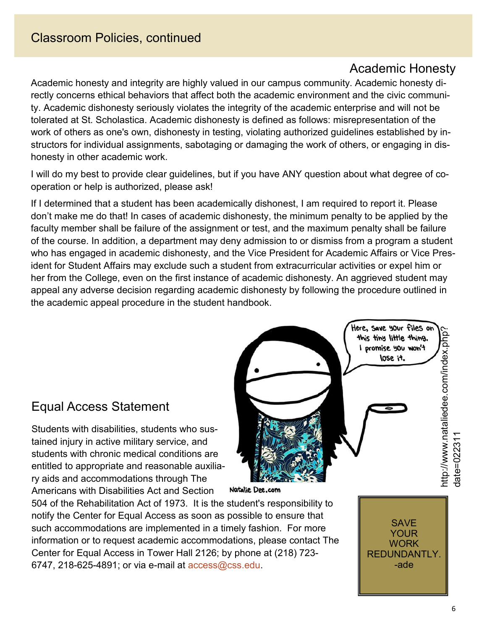### Academic Honesty

Academic honesty and integrity are highly valued in our campus community. Academic honesty directly concerns ethical behaviors that affect both the academic environment and the civic community. Academic dishonesty seriously violates the integrity of the academic enterprise and will not be tolerated at St. Scholastica. Academic dishonesty is defined as follows: misrepresentation of the work of others as one's own, dishonesty in testing, violating authorized guidelines established by instructors for individual assignments, sabotaging or damaging the work of others, or engaging in dishonesty in other academic work.

I will do my best to provide clear guidelines, but if you have ANY question about what degree of cooperation or help is authorized, please ask!

If I determined that a student has been academically dishonest, I am required to report it. Please don't make me do that! In cases of academic dishonesty, the minimum penalty to be applied by the faculty member shall be failure of the assignment or test, and the maximum penalty shall be failure of the course. In addition, a department may deny admission to or dismiss from a program a student who has engaged in academic dishonesty, and the Vice President for Academic Affairs or Vice President for Student Affairs may exclude such a student from extracurricular activities or expel him or her from the College, even on the first instance of academic dishonesty. An aggrieved student may appeal any adverse decision regarding academic dishonesty by following the procedure outlined in the academic appeal procedure in the student handbook.

# Equal Access Statement

Students with disabilities, students who sustained injury in active military service, and students with chronic medical conditions are entitled to appropriate and reasonable auxiliary aids and accommodations through The Americans with Disabilities Act and Section

504 of the Rehabilitation Act of 1973. It is the student's responsibility to notify the Center for Equal Access as soon as possible to ensure that such accommodations are implemented in a timely fashion. For more information or to request academic accommodations, please contact The Center for Equal Access in Tower Hall 2126; by phone at (218) 723- 6747, 218-625-4891; or via e-mail at access@css.edu.

Here, save your files on http://www.nataliedee.com/index.php? nttp://www.nataliedee.com/index.php? this tiny little thing. I promise you won't lose it. date=022311 date=02231 Natalie Dee.com

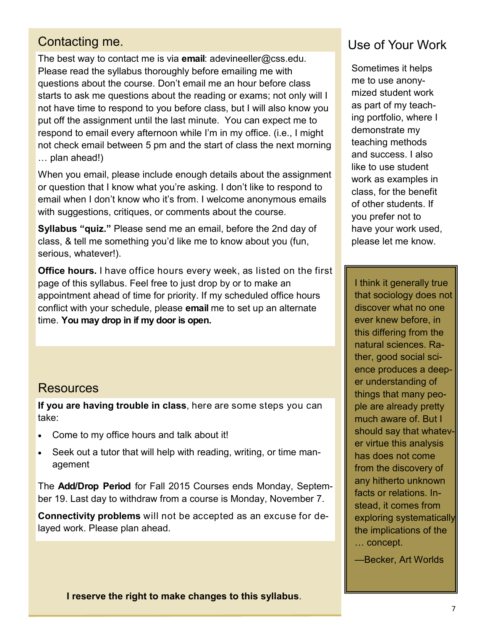#### Contacting me.

The best way to contact me is via **email**: adevineeller@css.edu. Please read the syllabus thoroughly before emailing me with questions about the course. Don't email me an hour before class starts to ask me questions about the reading or exams; not only will I not have time to respond to you before class, but I will also know you put off the assignment until the last minute. You can expect me to respond to email every afternoon while I'm in my office. (i.e., I might not check email between 5 pm and the start of class the next morning … plan ahead!)

When you email, please include enough details about the assignment or question that I know what you're asking. I don't like to respond to email when I don't know who it's from. I welcome anonymous emails with suggestions, critiques, or comments about the course.

**Syllabus "quiz."** Please send me an email, before the 2nd day of class, & tell me something you'd like me to know about you (fun, serious, whatever!).

**Office hours.** I have office hours every week, as listed on the first page of this syllabus. Feel free to just drop by or to make an appointment ahead of time for priority. If my scheduled office hours conflict with your schedule, please **email** me to set up an alternate time. **You may drop in if my door is open.**

#### **Resources**

**If you are having trouble in class**, here are some steps you can take:

- Come to my office hours and talk about it!
- Seek out a tutor that will help with reading, writing, or time management

The **Add/Drop Period** for Fall 2015 Courses ends Monday, September 19. Last day to withdraw from a course is Monday, November 7.

**Connectivity problems** will not be accepted as an excuse for delayed work. Please plan ahead.

#### Use of Your Work

Sometimes it helps me to use anonymized student work as part of my teaching portfolio, where I demonstrate my teaching methods and success. I also like to use student work as examples in class, for the benefit of other students. If you prefer not to have your work used, please let me know.

I think it generally true that sociology does not discover what no one ever knew before, in this differing from the natural sciences. Rather, good social science produces a deeper understanding of things that many people are already pretty much aware of. But I should say that whatever virtue this analysis has does not come from the discovery of any hitherto unknown facts or relations. Instead, it comes from exploring systematically the implications of the … concept.

—Becker, Art Worlds

**I reserve the right to make changes to this syllabus**.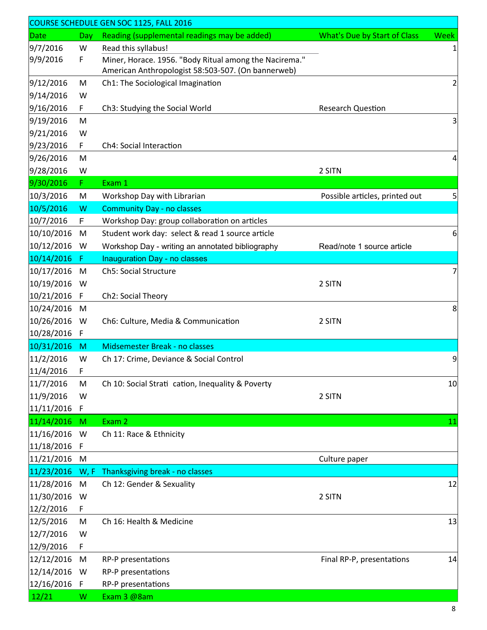| COURSE SCHEDULE GEN SOC 1125, FALL 2016 |             |                                                                           |                                     |                |  |  |
|-----------------------------------------|-------------|---------------------------------------------------------------------------|-------------------------------------|----------------|--|--|
| Date                                    | Day         | Reading (supplemental readings may be added)                              | <b>What's Due by Start of Class</b> | <b>Week</b>    |  |  |
| 9/7/2016                                | W           | Read this syllabus!                                                       |                                     | $\mathbf 1$    |  |  |
| 9/9/2016                                | F           | Miner, Horace. 1956. "Body Ritual among the Nacirema."                    |                                     |                |  |  |
|                                         |             | American Anthropologist 58:503-507. (On bannerweb)                        |                                     |                |  |  |
| 9/12/2016                               | M           | Ch1: The Sociological Imagination                                         |                                     | $\overline{2}$ |  |  |
| 9/14/2016                               | W           |                                                                           |                                     |                |  |  |
| 9/16/2016                               | F.          | Ch3: Studying the Social World                                            | <b>Research Question</b>            |                |  |  |
| 9/19/2016                               | M           |                                                                           |                                     | 3              |  |  |
| 9/21/2016                               | W           |                                                                           |                                     |                |  |  |
| 9/23/2016                               | F           | Ch4: Social Interaction                                                   |                                     |                |  |  |
| 9/26/2016                               | M           |                                                                           |                                     | 4              |  |  |
| 9/28/2016                               | W           |                                                                           | 2 SITN                              |                |  |  |
| 9/30/2016                               | F.          | Exam 1                                                                    |                                     |                |  |  |
| 10/3/2016                               | M           | Workshop Day with Librarian                                               | Possible articles, printed out      | 5              |  |  |
| 10/5/2016                               | W           | <b>Community Day - no classes</b>                                         |                                     |                |  |  |
| 10/7/2016                               | F           | Workshop Day: group collaboration on articles                             |                                     |                |  |  |
| 10/10/2016                              | M           | Student work day: select & read 1 source article                          |                                     | 6              |  |  |
| 10/12/2016                              | W           | Workshop Day - writing an annotated bibliography                          | Read/note 1 source article          |                |  |  |
| 10/14/2016                              | Æ           | <b>Inauguration Day - no classes</b>                                      |                                     |                |  |  |
| 10/17/2016                              | M           | Ch5: Social Structure                                                     |                                     | $\overline{7}$ |  |  |
| 10/19/2016                              | W           |                                                                           | 2 SITN                              |                |  |  |
| 10/21/2016                              | F           | Ch2: Social Theory                                                        |                                     |                |  |  |
| 10/24/2016                              | M           |                                                                           |                                     | 8              |  |  |
| 10/26/2016                              | W           | Ch6: Culture, Media & Communication                                       | 2 SITN                              |                |  |  |
| 10/28/2016                              | F           |                                                                           |                                     |                |  |  |
| 10/31/2016<br>11/2/2016                 | M<br>W      | Midsemester Break - no classes<br>Ch 17: Crime, Deviance & Social Control |                                     | 9              |  |  |
|                                         |             |                                                                           |                                     |                |  |  |
| 11/4/2016                               | F           |                                                                           |                                     |                |  |  |
| 11/7/2016<br>11/9/2016                  | M<br>W      | Ch 10: Social Strati cation, Inequality & Poverty                         | 2 SITN                              | 10             |  |  |
| 11/11/2016                              | F           |                                                                           |                                     |                |  |  |
| 11/14/2016                              | M           | Exam 2                                                                    |                                     | 11             |  |  |
| 11/16/2016                              | W           | Ch 11: Race & Ethnicity                                                   |                                     |                |  |  |
| 11/18/2016                              | F           |                                                                           |                                     |                |  |  |
| 11/21/2016                              | M           |                                                                           | Culture paper                       |                |  |  |
| 11/23/2016                              | W, F        | Thanksgiving break - no classes                                           |                                     |                |  |  |
| 11/28/2016                              | M           | Ch 12: Gender & Sexuality                                                 |                                     | 12             |  |  |
| 11/30/2016                              | W           |                                                                           | 2 SITN                              |                |  |  |
| 12/2/2016                               | F           |                                                                           |                                     |                |  |  |
| 12/5/2016                               | M           | Ch 16: Health & Medicine                                                  |                                     | 13             |  |  |
| 12/7/2016                               | W           |                                                                           |                                     |                |  |  |
| 12/9/2016                               | F           |                                                                           |                                     |                |  |  |
| 12/12/2016                              | M           | RP-P presentations                                                        | Final RP-P, presentations           | 14             |  |  |
| 12/14/2016                              | W           | RP-P presentations                                                        |                                     |                |  |  |
| 12/16/2016                              | $\mathsf F$ | RP-P presentations                                                        |                                     |                |  |  |
| 12/21                                   | W           | Exam 3 @8am                                                               |                                     |                |  |  |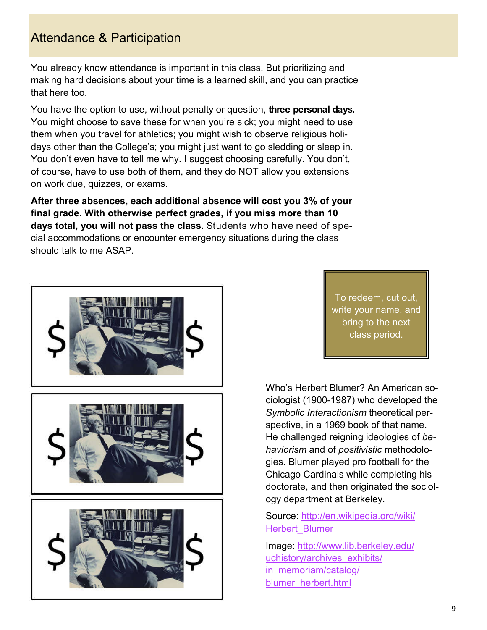# Attendance & Participation

You already know attendance is important in this class. But prioritizing and making hard decisions about your time is a learned skill, and you can practice that here too.

You have the option to use, without penalty or question, **three personal days.**  You might choose to save these for when you're sick; you might need to use them when you travel for athletics; you might wish to observe religious holidays other than the College's; you might just want to go sledding or sleep in. You don't even have to tell me why. I suggest choosing carefully. You don't, of course, have to use both of them, and they do NOT allow you extensions on work due, quizzes, or exams.

**After three absences, each additional absence will cost you 3% of your final grade. With otherwise perfect grades, if you miss more than 10 days total, you will not pass the class.** Students who have need of special accommodations or encounter emergency situations during the class should talk to me ASAP.



To redeem, cut out, write your name, and bring to the next class period.

Who's Herbert Blumer? An American sociologist (1900-1987) who developed the *Symbolic Interactionism* theoretical perspective, in a 1969 book of that name. He challenged reigning ideologies of *behaviorism* and of *positivistic* methodologies. Blumer played pro football for the Chicago Cardinals while completing his doctorate, and then originated the sociology department at Berkeley.

#### Source: http://en.wikipedia.org/wiki/ Herbert\_Blumer

Image: http://www.lib.berkeley.edu/ uchistory/archives\_exhibits/ in\_memoriam/catalog/ blumer\_herbert.html